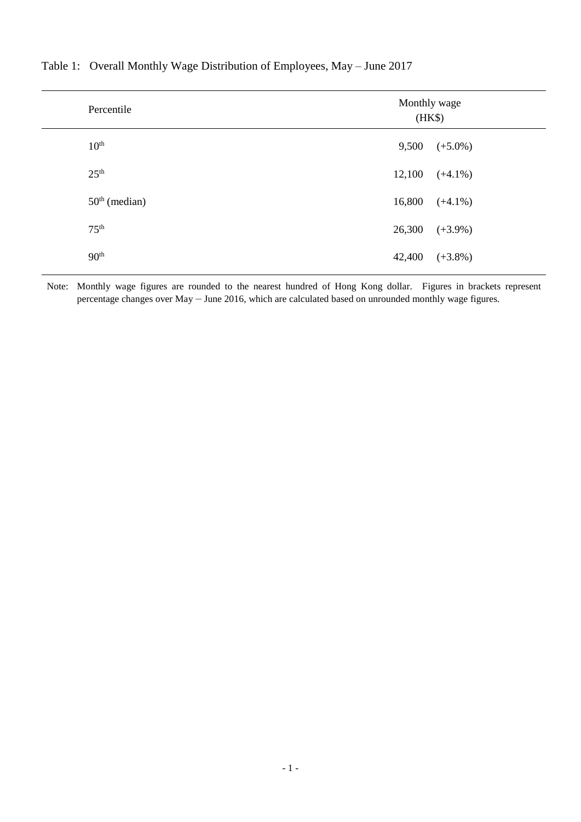| Percentile       | Monthly wage<br>$(HK\$ |
|------------------|------------------------|
| 10 <sup>th</sup> | 9,500<br>$(+5.0\%)$    |
| 25 <sup>th</sup> | 12,100<br>$(+4.1\%)$   |
| $50th$ (median)  | 16,800<br>$(+4.1\%)$   |
| 75 <sup>th</sup> | 26,300<br>$(+3.9\%)$   |
| 90 <sup>th</sup> | 42,400<br>$(+3.8\%)$   |

## Table 1: Overall Monthly Wage Distribution of Employees, May – June 2017

Note: Monthly wage figures are rounded to the nearest hundred of Hong Kong dollar. Figures in brackets represent percentage changes over May – June 2016, which are calculated based on unrounded monthly wage figures.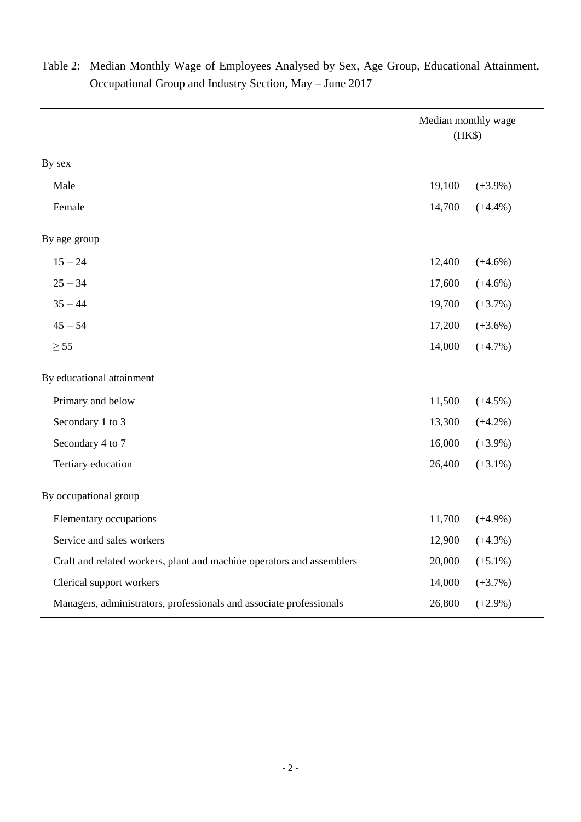|                                                                       | Median monthly wage<br>(HK\$) |            |  |
|-----------------------------------------------------------------------|-------------------------------|------------|--|
| By sex                                                                |                               |            |  |
| Male                                                                  | 19,100                        | $(+3.9\%)$ |  |
| Female                                                                | 14,700                        | $(+4.4\%)$ |  |
| By age group                                                          |                               |            |  |
| $15 - 24$                                                             | 12,400                        | $(+4.6\%)$ |  |
| $25 - 34$                                                             | 17,600                        | $(+4.6\%)$ |  |
| $35 - 44$                                                             | 19,700                        | $(+3.7\%)$ |  |
| $45 - 54$                                                             | 17,200                        | $(+3.6\%)$ |  |
| $\geq$ 55                                                             | 14,000                        | $(+4.7%)$  |  |
| By educational attainment                                             |                               |            |  |
| Primary and below                                                     | 11,500                        | $(+4.5\%)$ |  |
| Secondary 1 to 3                                                      | 13,300                        | $(+4.2\%)$ |  |
| Secondary 4 to 7                                                      | 16,000                        | $(+3.9\%)$ |  |
| Tertiary education                                                    | 26,400                        | $(+3.1\%)$ |  |
| By occupational group                                                 |                               |            |  |
| Elementary occupations                                                | 11,700                        | $(+4.9\%)$ |  |
| Service and sales workers                                             | 12,900                        | $(+4.3\%)$ |  |
| Craft and related workers, plant and machine operators and assemblers | 20,000                        | $(+5.1\%)$ |  |
| Clerical support workers                                              | 14,000                        | $(+3.7%)$  |  |
| Managers, administrators, professionals and associate professionals   | 26,800                        | $(+2.9\%)$ |  |

## Table 2: Median Monthly Wage of Employees Analysed by Sex, Age Group, Educational Attainment, Occupational Group and Industry Section, May – June 2017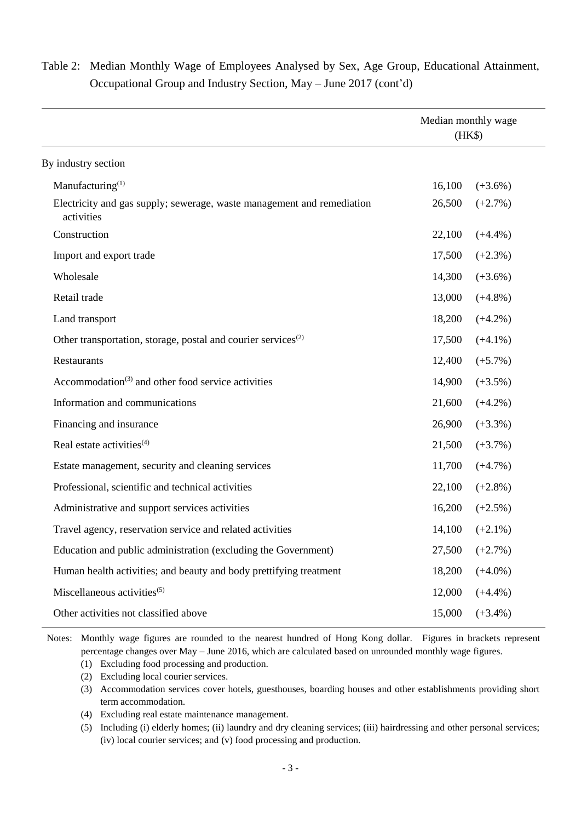|                                                                                      | Median monthly wage<br>(HK\$) |            |
|--------------------------------------------------------------------------------------|-------------------------------|------------|
| By industry section                                                                  |                               |            |
| Manufacturing $(1)$                                                                  | 16,100                        | $(+3.6\%)$ |
| Electricity and gas supply; sewerage, waste management and remediation<br>activities | 26,500                        | $(+2.7%)$  |
| Construction                                                                         | 22,100                        | $(+4.4\%)$ |
| Import and export trade                                                              | 17,500                        | $(+2.3\%)$ |
| Wholesale                                                                            | 14,300                        | $(+3.6\%)$ |
| Retail trade                                                                         | 13,000                        | $(+4.8\%)$ |
| Land transport                                                                       | 18,200                        | $(+4.2\%)$ |
| Other transportation, storage, postal and courier services <sup>(2)</sup>            | 17,500                        | $(+4.1\%)$ |
| Restaurants                                                                          | 12,400                        | $(+5.7\%)$ |
| Accommodation $(3)$ and other food service activities                                | 14,900                        | $(+3.5\%)$ |
| Information and communications                                                       | 21,600                        | $(+4.2\%)$ |
| Financing and insurance                                                              | 26,900                        | $(+3.3\%)$ |
| Real estate activities <sup>(4)</sup>                                                | 21,500                        | $(+3.7\%)$ |
| Estate management, security and cleaning services                                    | 11,700                        | $(+4.7%)$  |
| Professional, scientific and technical activities                                    | 22,100                        | $(+2.8\%)$ |
| Administrative and support services activities                                       | 16,200                        | $(+2.5\%)$ |
| Travel agency, reservation service and related activities                            | 14,100                        | $(+2.1\%)$ |
| Education and public administration (excluding the Government)                       | 27,500                        | $(+2.7\%)$ |
| Human health activities; and beauty and body prettifying treatment                   | 18,200                        | $(+4.0\%)$ |
| Miscellaneous activities <sup>(5)</sup>                                              | 12,000                        | $(+4.4\%)$ |
| Other activities not classified above                                                | 15,000                        | $(+3.4\%)$ |

Table 2: Median Monthly Wage of Employees Analysed by Sex, Age Group, Educational Attainment, Occupational Group and Industry Section, May – June 2017 (cont'd)

Notes: Monthly wage figures are rounded to the nearest hundred of Hong Kong dollar. Figures in brackets represent percentage changes over May – June 2016, which are calculated based on unrounded monthly wage figures.

- (1) Excluding food processing and production.
- (2) Excluding local courier services.
- (3) Accommodation services cover hotels, guesthouses, boarding houses and other establishments providing short term accommodation.
- (4) Excluding real estate maintenance management.
- (5) Including (i) elderly homes; (ii) laundry and dry cleaning services; (iii) hairdressing and other personal services; (iv) local courier services; and (v) food processing and production.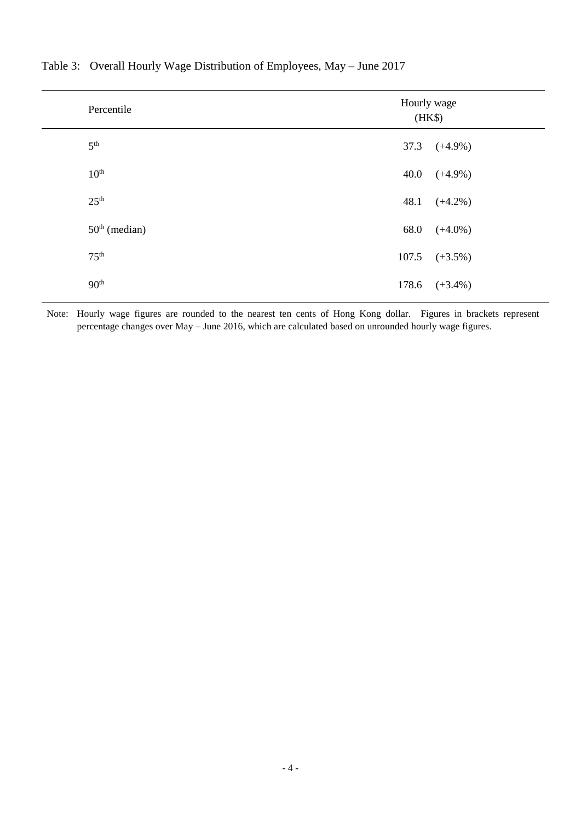| Percentile       | Hourly wage<br>$(HK\$ |            |
|------------------|-----------------------|------------|
| 5 <sup>th</sup>  | 37.3                  | $(+4.9\%)$ |
| $10^{\text{th}}$ | 40.0                  | $(+4.9\%)$ |
| 25 <sup>th</sup> | 48.1                  | $(+4.2\%)$ |
| $50th$ (median)  | 68.0                  | $(+4.0\%)$ |
| 75 <sup>th</sup> | 107.5                 | $(+3.5\%)$ |
| 90 <sup>th</sup> | 178.6                 | $(+3.4\%)$ |

## Table 3: Overall Hourly Wage Distribution of Employees, May – June 2017

Note: Hourly wage figures are rounded to the nearest ten cents of Hong Kong dollar. Figures in brackets represent percentage changes over May – June 2016, which are calculated based on unrounded hourly wage figures.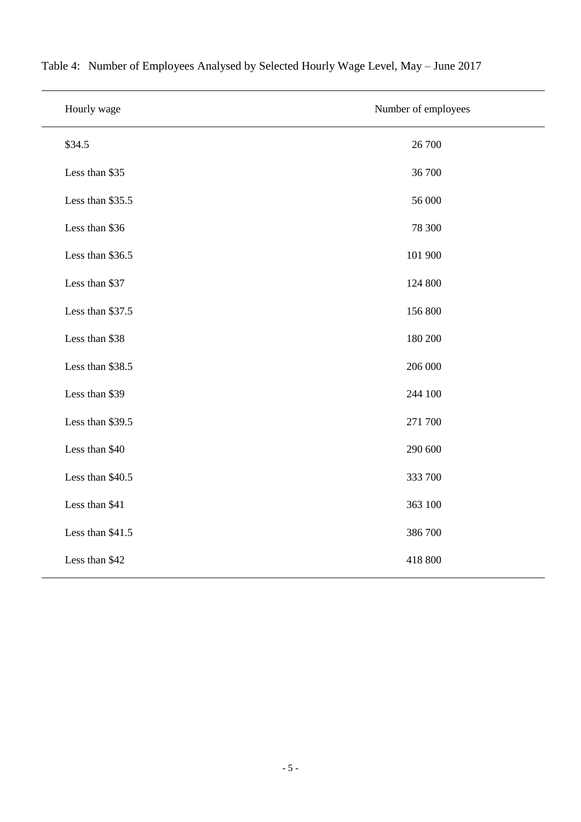| Hourly wage      | Number of employees |
|------------------|---------------------|
| \$34.5           | 26 700              |
| Less than \$35   | 36 700              |
| Less than \$35.5 | 56 000              |
| Less than \$36   | 78 300              |
| Less than \$36.5 | 101 900             |
| Less than \$37   | 124 800             |
| Less than \$37.5 | 156 800             |
| Less than \$38   | 180 200             |
| Less than \$38.5 | 206 000             |
| Less than \$39   | 244 100             |
| Less than \$39.5 | 271 700             |
| Less than \$40   | 290 600             |
| Less than \$40.5 | 333 700             |
| Less than \$41   | 363 100             |
| Less than \$41.5 | 386 700             |
| Less than \$42   | 418 800             |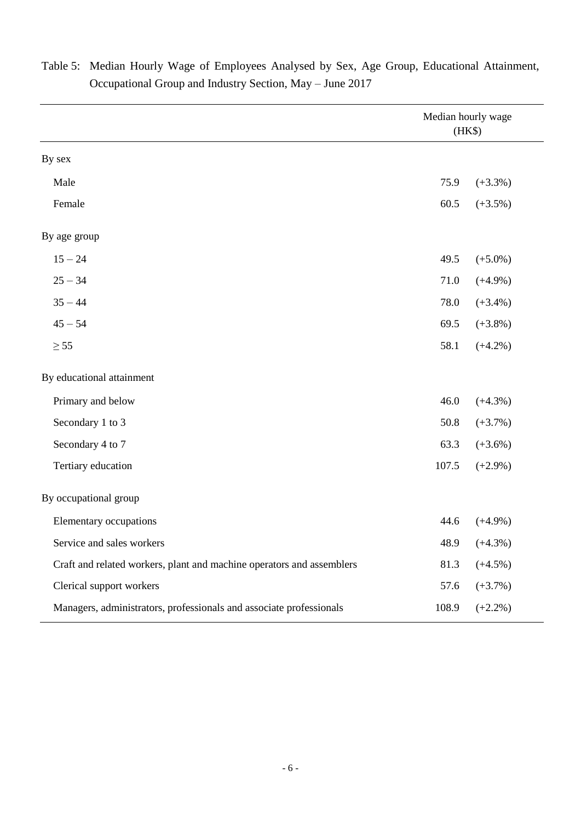|                                                                       | Median hourly wage<br>(HK\$) |                 |
|-----------------------------------------------------------------------|------------------------------|-----------------|
| By sex                                                                |                              |                 |
| Male                                                                  | 75.9                         | $(+3.3\%)$      |
| Female                                                                | 60.5                         | $(+3.5\%)$      |
| By age group                                                          |                              |                 |
| $15 - 24$                                                             | 49.5                         | $(+5.0\%)$      |
| $25 - 34$                                                             | 71.0                         | $(+4.9\%)$      |
| $35 - 44$                                                             | 78.0                         | $(+3.4\%)$      |
| $45 - 54$                                                             | 69.5                         | $(+3.8\%)$      |
| $\geq$ 55                                                             | 58.1                         | $(+4.2\%)$      |
| By educational attainment                                             |                              |                 |
| Primary and below                                                     | 46.0                         | $(+4.3%)$       |
| Secondary 1 to 3                                                      | 50.8                         | $(+3.7%)$       |
| Secondary 4 to 7                                                      | 63.3                         | $(+3.6%)$       |
| Tertiary education                                                    | 107.5                        | $(+2.9\%)$      |
| By occupational group                                                 |                              |                 |
| Elementary occupations                                                | 44.6                         | $(+4.9\%)$      |
| Service and sales workers                                             |                              | 48.9 $(+4.3\%)$ |
| Craft and related workers, plant and machine operators and assemblers | 81.3                         | $(+4.5\%)$      |
| Clerical support workers                                              | 57.6                         | $(+3.7\%)$      |
| Managers, administrators, professionals and associate professionals   | 108.9                        | $(+2.2\%)$      |

Table 5: Median Hourly Wage of Employees Analysed by Sex, Age Group, Educational Attainment, Occupational Group and Industry Section, May – June 2017